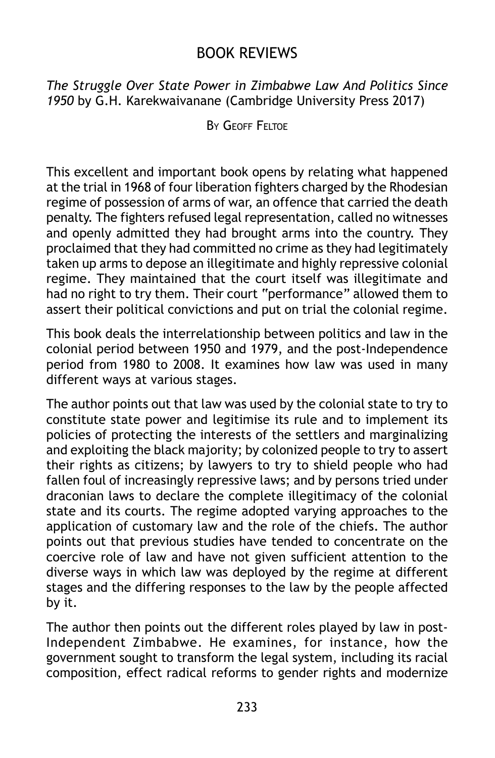## BOOK REVIEWS

*The Struggle Over State Power in Zimbabwe Law And Politics Since 1950* by G.H. Karekwaivanane (Cambridge University Press 2017)

BY GEOFF FELTOF

This excellent and important book opens by relating what happened at the trial in 1968 of four liberation fighters charged by the Rhodesian regime of possession of arms of war, an offence that carried the death penalty. The fighters refused legal representation, called no witnesses and openly admitted they had brought arms into the country. They proclaimed that they had committed no crime as they had legitimately taken up arms to depose an illegitimate and highly repressive colonial regime. They maintained that the court itself was illegitimate and had no right to try them. Their court "performance" allowed them to assert their political convictions and put on trial the colonial regime.

This book deals the interrelationship between politics and law in the colonial period between 1950 and 1979, and the post-Independence period from 1980 to 2008. It examines how law was used in many different ways at various stages.

The author points out that law was used by the colonial state to try to constitute state power and legitimise its rule and to implement its policies of protecting the interests of the settlers and marginalizing and exploiting the black majority; by colonized people to try to assert their rights as citizens; by lawyers to try to shield people who had fallen foul of increasingly repressive laws; and by persons tried under draconian laws to declare the complete illegitimacy of the colonial state and its courts. The regime adopted varying approaches to the application of customary law and the role of the chiefs. The author points out that previous studies have tended to concentrate on the coercive role of law and have not given sufficient attention to the diverse ways in which law was deployed by the regime at different stages and the differing responses to the law by the people affected by it.

The author then points out the different roles played by law in post-Independent Zimbabwe. He examines, for instance, how the government sought to transform the legal system, including its racial composition, effect radical reforms to gender rights and modernize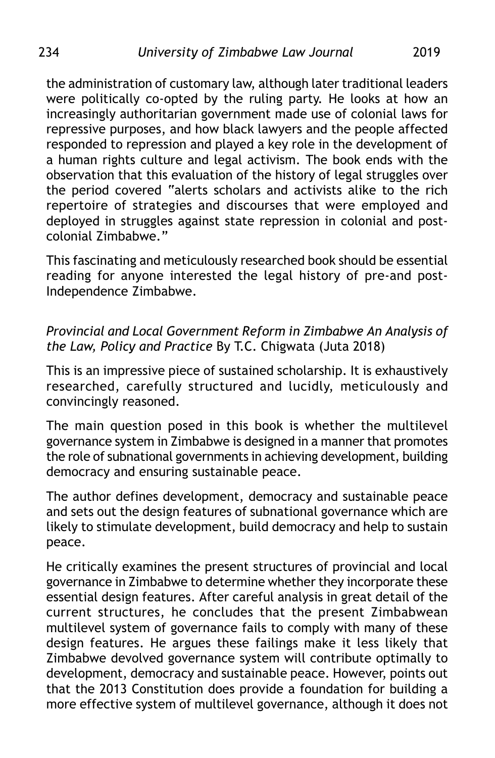the administration of customary law, although later traditional leaders were politically co-opted by the ruling party. He looks at how an increasingly authoritarian government made use of colonial laws for repressive purposes, and how black lawyers and the people affected responded to repression and played a key role in the development of a human rights culture and legal activism. The book ends with the observation that this evaluation of the history of legal struggles over the period covered "alerts scholars and activists alike to the rich repertoire of strategies and discourses that were employed and deployed in struggles against state repression in colonial and postcolonial Zimbabwe."

This fascinating and meticulously researched book should be essential reading for anyone interested the legal history of pre-and post-Independence Zimbabwe.

## *Provincial and Local Government Reform in Zimbabwe An Analysis of the Law, Policy and Practice* By T.C. Chigwata (Juta 2018)

This is an impressive piece of sustained scholarship. It is exhaustively researched, carefully structured and lucidly, meticulously and convincingly reasoned.

The main question posed in this book is whether the multilevel governance system in Zimbabwe is designed in a manner that promotes the role of subnational governments in achieving development, building democracy and ensuring sustainable peace.

The author defines development, democracy and sustainable peace and sets out the design features of subnational governance which are likely to stimulate development, build democracy and help to sustain peace.

He critically examines the present structures of provincial and local governance in Zimbabwe to determine whether they incorporate these essential design features. After careful analysis in great detail of the current structures, he concludes that the present Zimbabwean multilevel system of governance fails to comply with many of these design features. He argues these failings make it less likely that Zimbabwe devolved governance system will contribute optimally to development, democracy and sustainable peace. However, points out that the 2013 Constitution does provide a foundation for building a more effective system of multilevel governance, although it does not